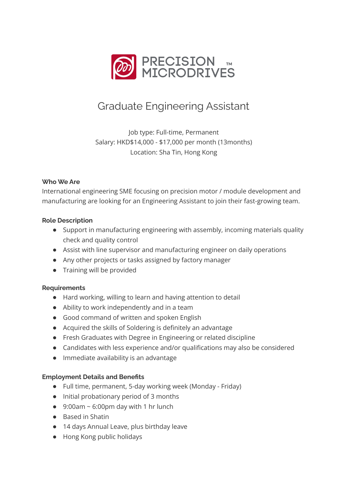

# Graduate Engineering Assistant

Job type: Full-time, Permanent Salary: HKD\$14,000 - \$17,000 per month (13months) Location: Sha Tin, Hong Kong

# **Who We Are**

International engineering SME focusing on precision motor / module development and manufacturing are looking for an Engineering Assistant to join their fast-growing team.

### **Role Description**

- Support in manufacturing engineering with assembly, incoming materials quality check and quality control
- Assist with line supervisor and manufacturing engineer on daily operations
- Any other projects or tasks assigned by factory manager
- Training will be provided

#### **Requirements**

- Hard working, willing to learn and having attention to detail
- Ability to work independently and in a team
- Good command of written and spoken English
- Acquired the skills of Soldering is definitely an advantage
- Fresh Graduates with Degree in Engineering or related discipline
- Candidates with less experience and/or qualifications may also be considered
- Immediate availability is an advantage

# **Employment Details and Benefits**

- Full time, permanent, 5-day working week (Monday Friday)
- Initial probationary period of 3 months
- $\bullet$  9:00am ~ 6:00pm day with 1 hr lunch
- Based in Shatin
- 14 days Annual Leave, plus birthday leave
- Hong Kong public holidays